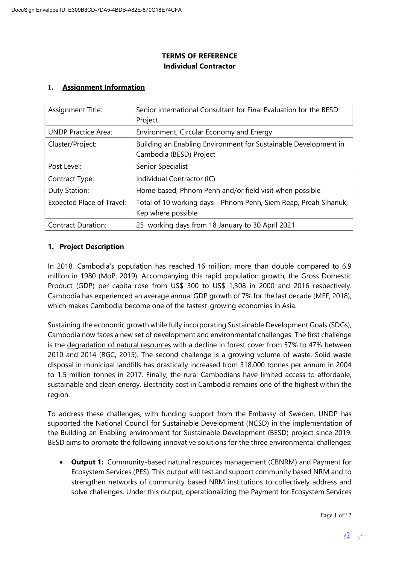## TERMS OF REFERENCE Individual Contractor

## 1. Assignment Information

| Assignment Title:                | Senior international Consultant for Final Evaluation for the BESD<br>Project               |  |
|----------------------------------|--------------------------------------------------------------------------------------------|--|
| <b>UNDP Practice Area:</b>       | Environment, Circular Economy and Energy                                                   |  |
| Cluster/Project:                 | Building an Enabling Environment for Sustainable Development in<br>Cambodia (BESD) Project |  |
| Post Level:                      | Senior Specialist                                                                          |  |
| Contract Type:                   | Individual Contractor (IC)                                                                 |  |
| Duty Station:                    | Home based, Phnom Penh and/or field visit when possible                                    |  |
| <b>Expected Place of Travel:</b> | Total of 10 working days - Phnom Penh, Siem Reap, Preah Sihanuk,<br>Kep where possible     |  |
| <b>Contract Duration:</b>        | 25 working days from 18 January to 30 April 2021                                           |  |

## 1. Project Description

In 2018, Cambodia's population has reached 16 million, more than double compared to 6.9 million in 1980 (MoP, 2019). Accompanying this rapid population growth, the Gross Domestic Product (GDP) per capita rose from US\$ 300 to US\$ 1,308 in 2000 and 2016 respectively. Cambodia has experienced an average annual GDP growth of 7% for the last decade (MEF, 2018), which makes Cambodia become one of the fastest-growing economies in Asia.

Sustaining the economic growth while fully incorporating Sustainable Development Goals (SDGs), Cambodia now faces a new set of development and environmental challenges. The first challenge is the degradation of natural resources with a decline in forest cover from 57% to 47% between 2010 and 2014 (RGC, 2015). The second challenge is a growing volume of waste. Solid waste disposal in municipal landfills has drastically increased from 318,000 tonnes per annum in 2004 to 1.5 million tonnes in 2017. Finally, the rural Cambodians have limited access to affordable, sustainable and clean energy. Electricity cost in Cambodia remains one of the highest within the region.

To address these challenges, with funding support from the Embassy of Sweden, UNDP has supported the National Council for Sustainable Development (NCSD) in the implementation of the Building an Enabling environment for Sustainable Development (BESD) project since 2019. BESD aims to promote the following innovative solutions for the three environmental challenges:

• Output 1: Community-based natural resources management (CBNRM) and Payment for Ecosystem Services (PES). This output will test and support community based NRM and to strengthen networks of community based NRM institutions to collectively address and solve challenges. Under this output, operationalizing the Payment for Ecosystem Services

Page 1 of 12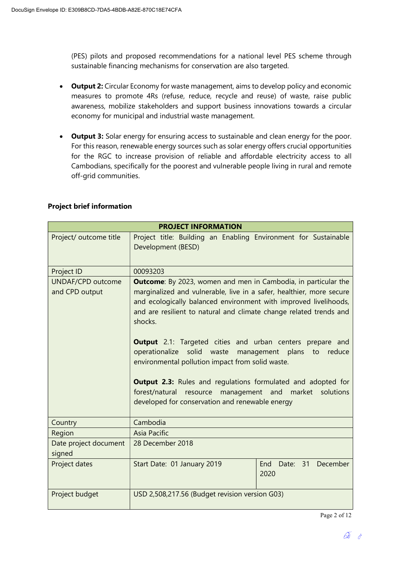(PES) pilots and proposed recommendations for a national level PES scheme through sustainable financing mechanisms for conservation are also targeted.

- Output 2: Circular Economy for waste management, aims to develop policy and economic measures to promote 4Rs (refuse, reduce, recycle and reuse) of waste, raise public awareness, mobilize stakeholders and support business innovations towards a circular economy for municipal and industrial waste management.
- Output 3: Solar energy for ensuring access to sustainable and clean energy for the poor. For this reason, renewable energy sources such as solar energy offers crucial opportunities for the RGC to increase provision of reliable and affordable electricity access to all Cambodians, specifically for the poorest and vulnerable people living in rural and remote off-grid communities.

| <b>PROJECT INFORMATION</b>          |                                                                                                                                                                                                                                                                                                                                                                                                                                                                                                                                                                                                                                                                                            |                                     |  |
|-------------------------------------|--------------------------------------------------------------------------------------------------------------------------------------------------------------------------------------------------------------------------------------------------------------------------------------------------------------------------------------------------------------------------------------------------------------------------------------------------------------------------------------------------------------------------------------------------------------------------------------------------------------------------------------------------------------------------------------------|-------------------------------------|--|
| Project/ outcome title              | Project title: Building an Enabling Environment for Sustainable<br>Development (BESD)                                                                                                                                                                                                                                                                                                                                                                                                                                                                                                                                                                                                      |                                     |  |
| Project ID                          | 00093203                                                                                                                                                                                                                                                                                                                                                                                                                                                                                                                                                                                                                                                                                   |                                     |  |
| UNDAF/CPD outcome<br>and CPD output | <b>Outcome:</b> By 2023, women and men in Cambodia, in particular the<br>marginalized and vulnerable, live in a safer, healthier, more secure<br>and ecologically balanced environment with improved livelihoods,<br>and are resilient to natural and climate change related trends and<br>shocks.<br><b>Output</b> 2.1: Targeted cities and urban centers prepare and<br>solid<br>operationalize<br>waste<br>management plans<br>reduce<br>to<br>environmental pollution impact from solid waste.<br><b>Output 2.3:</b> Rules and regulations formulated and adopted for<br>resource management and market solutions<br>forest/natural<br>developed for conservation and renewable energy |                                     |  |
| Country                             | Cambodia                                                                                                                                                                                                                                                                                                                                                                                                                                                                                                                                                                                                                                                                                   |                                     |  |
| Region                              | <b>Asia Pacific</b>                                                                                                                                                                                                                                                                                                                                                                                                                                                                                                                                                                                                                                                                        |                                     |  |
| Date project document<br>signed     | 28 December 2018                                                                                                                                                                                                                                                                                                                                                                                                                                                                                                                                                                                                                                                                           |                                     |  |
| Project dates                       | Start Date: 01 January 2019                                                                                                                                                                                                                                                                                                                                                                                                                                                                                                                                                                                                                                                                | Date: 31<br>End<br>December<br>2020 |  |
| Project budget                      | USD 2,508,217.56 (Budget revision version G03)                                                                                                                                                                                                                                                                                                                                                                                                                                                                                                                                                                                                                                             |                                     |  |

### Project brief information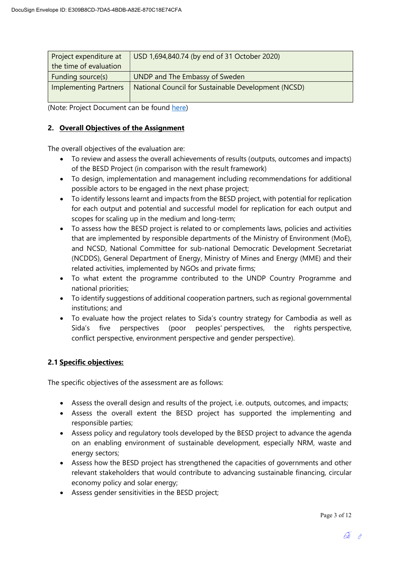| Project expenditure at       | USD 1,694,840.74 (by end of 31 October 2020)        |  |
|------------------------------|-----------------------------------------------------|--|
| the time of evaluation       |                                                     |  |
| Funding source(s)            | UNDP and The Embassy of Sweden                      |  |
| <b>Implementing Partners</b> | National Council for Sustainable Development (NCSD) |  |
|                              |                                                     |  |

(Note: Project Document can be found here)

## 2. Overall Objectives of the Assignment

The overall objectives of the evaluation are:

- To review and assess the overall achievements of results (outputs, outcomes and impacts) of the BESD Project (in comparison with the result framework)
- To design, implementation and management including recommendations for additional possible actors to be engaged in the next phase project;
- To identify lessons learnt and impacts from the BESD project, with potential for replication for each output and potential and successful model for replication for each output and scopes for scaling up in the medium and long-term;
- To assess how the BESD project is related to or complements laws, policies and activities that are implemented by responsible departments of the Ministry of Environment (MoE), and NCSD, National Committee for sub-national Democratic Development Secretariat (NCDDS), General Department of Energy, Ministry of Mines and Energy (MME) and their related activities, implemented by NGOs and private firms;
- To what extent the programme contributed to the UNDP Country Programme and national priorities;
- To identify suggestions of additional cooperation partners, such as regional governmental institutions; and
- To evaluate how the project relates to Sida's country strategy for Cambodia as well as Sida's five perspectives (poor peoples' perspectives, the rights perspective, conflict perspective, environment perspective and gender perspective).

## 2.1 Specific objectives:

The specific objectives of the assessment are as follows:

- Assess the overall design and results of the project, i.e. outputs, outcomes, and impacts;
- Assess the overall extent the BESD project has supported the implementing and responsible parties;
- Assess policy and regulatory tools developed by the BESD project to advance the agenda on an enabling environment of sustainable development, especially NRM, waste and energy sectors;
- Assess how the BESD project has strengthened the capacities of governments and other relevant stakeholders that would contribute to advancing sustainable financing, circular economy policy and solar energy;
- Assess gender sensitivities in the BESD project;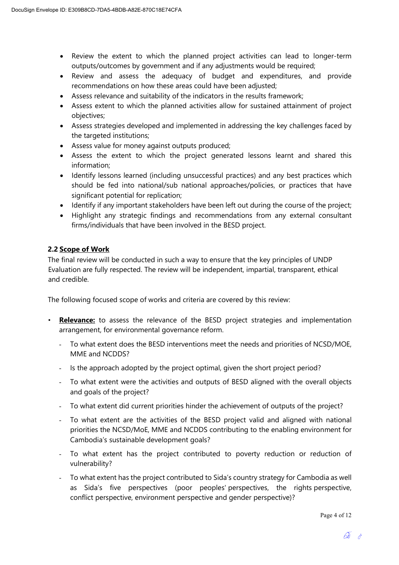- Review the extent to which the planned project activities can lead to longer-term outputs/outcomes by government and if any adjustments would be required;
- Review and assess the adequacy of budget and expenditures, and provide recommendations on how these areas could have been adjusted;
- Assess relevance and suitability of the indicators in the results framework;
- Assess extent to which the planned activities allow for sustained attainment of project objectives;
- Assess strategies developed and implemented in addressing the key challenges faced by the targeted institutions;
- Assess value for money against outputs produced;
- Assess the extent to which the project generated lessons learnt and shared this information;
- Identify lessons learned (including unsuccessful practices) and any best practices which should be fed into national/sub national approaches/policies, or practices that have significant potential for replication;
- Identify if any important stakeholders have been left out during the course of the project;
- Highlight any strategic findings and recommendations from any external consultant firms/individuals that have been involved in the BESD project.

## 2.2 Scope of Work

The final review will be conducted in such a way to ensure that the key principles of UNDP Evaluation are fully respected. The review will be independent, impartial, transparent, ethical and credible.

The following focused scope of works and criteria are covered by this review:

- Relevance: to assess the relevance of the BESD project strategies and implementation arrangement, for environmental governance reform.
	- To what extent does the BESD interventions meet the needs and priorities of NCSD/MOE, MME and NCDDS?
	- Is the approach adopted by the project optimal, given the short project period?
	- To what extent were the activities and outputs of BESD aligned with the overall objects and goals of the project?
	- To what extent did current priorities hinder the achievement of outputs of the project?
	- To what extent are the activities of the BESD project valid and aligned with national priorities the NCSD/MoE, MME and NCDDS contributing to the enabling environment for Cambodia's sustainable development goals?
	- To what extent has the project contributed to poverty reduction or reduction of vulnerability?
	- To what extent has the project contributed to Sida's country strategy for Cambodia as well as Sida's five perspectives (poor peoples' perspectives, the rights perspective, conflict perspective, environment perspective and gender perspective)?

Page 4 of 12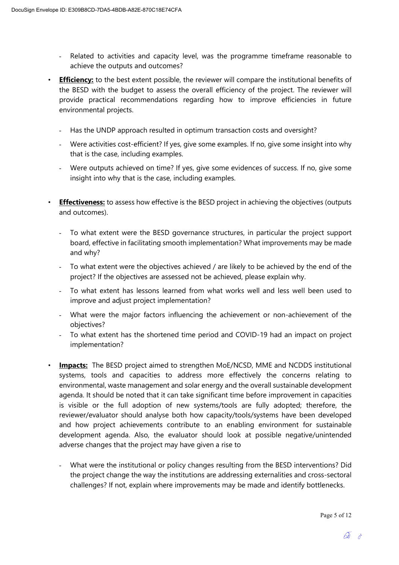- Related to activities and capacity level, was the programme timeframe reasonable to achieve the outputs and outcomes?
- Efficiency: to the best extent possible, the reviewer will compare the institutional benefits of the BESD with the budget to assess the overall efficiency of the project. The reviewer will provide practical recommendations regarding how to improve efficiencies in future environmental projects.
	- Has the UNDP approach resulted in optimum transaction costs and oversight?
	- Were activities cost-efficient? If yes, give some examples. If no, give some insight into why that is the case, including examples.
	- Were outputs achieved on time? If yes, give some evidences of success. If no, give some insight into why that is the case, including examples.
- Effectiveness: to assess how effective is the BESD project in achieving the objectives (outputs and outcomes).
	- To what extent were the BESD governance structures, in particular the project support board, effective in facilitating smooth implementation? What improvements may be made and why?
	- To what extent were the objectives achieved / are likely to be achieved by the end of the project? If the objectives are assessed not be achieved, please explain why.
	- To what extent has lessons learned from what works well and less well been used to improve and adjust project implementation?
	- What were the major factors influencing the achievement or non-achievement of the objectives?
	- To what extent has the shortened time period and COVID-19 had an impact on project implementation?
- **Impacts:** The BESD project aimed to strengthen MoE/NCSD, MME and NCDDS institutional systems, tools and capacities to address more effectively the concerns relating to environmental, waste management and solar energy and the overall sustainable development agenda. It should be noted that it can take significant time before improvement in capacities is visible or the full adoption of new systems/tools are fully adopted; therefore, the reviewer/evaluator should analyse both how capacity/tools/systems have been developed and how project achievements contribute to an enabling environment for sustainable development agenda. Also, the evaluator should look at possible negative/unintended adverse changes that the project may have given a rise to
	- What were the institutional or policy changes resulting from the BESD interventions? Did the project change the way the institutions are addressing externalities and cross-sectoral challenges? If not, explain where improvements may be made and identify bottlenecks.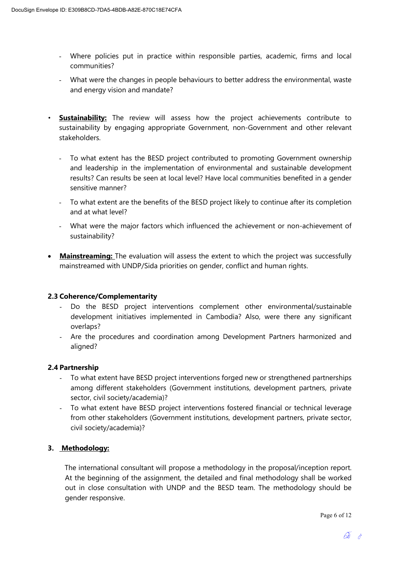- Where policies put in practice within responsible parties, academic, firms and local communities?
- What were the changes in people behaviours to better address the environmental, waste and energy vision and mandate?
- Sustainability: The review will assess how the project achievements contribute to sustainability by engaging appropriate Government, non-Government and other relevant stakeholders.
	- To what extent has the BESD project contributed to promoting Government ownership and leadership in the implementation of environmental and sustainable development results? Can results be seen at local level? Have local communities benefited in a gender sensitive manner?
	- To what extent are the benefits of the BESD project likely to continue after its completion and at what level?
	- What were the major factors which influenced the achievement or non-achievement of sustainability?
- Mainstreaming: The evaluation will assess the extent to which the project was successfully mainstreamed with UNDP/Sida priorities on gender, conflict and human rights.

## 2.3 Coherence/Complementarity

- Do the BESD project interventions complement other environmental/sustainable development initiatives implemented in Cambodia? Also, were there any significant overlaps?
- Are the procedures and coordination among Development Partners harmonized and aligned?

## 2.4 Partnership

- To what extent have BESD project interventions forged new or strengthened partnerships among different stakeholders (Government institutions, development partners, private sector, civil society/academia)?
- To what extent have BESD project interventions fostered financial or technical leverage from other stakeholders (Government institutions, development partners, private sector, civil society/academia)?

## 3. Methodology:

The international consultant will propose a methodology in the proposal/inception report. At the beginning of the assignment, the detailed and final methodology shall be worked out in close consultation with UNDP and the BESD team. The methodology should be gender responsive.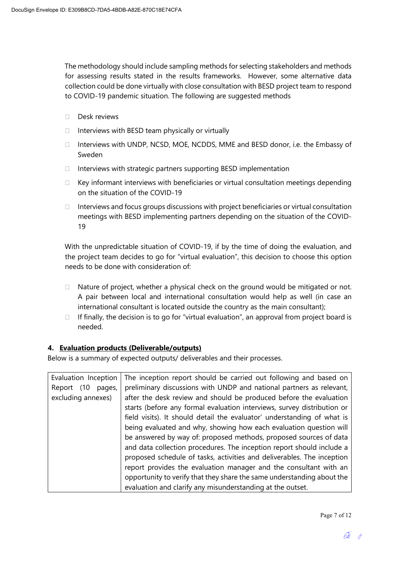The methodology should include sampling methods for selecting stakeholders and methods for assessing results stated in the results frameworks. However, some alternative data collection could be done virtually with close consultation with BESD project team to respond to COVID-19 pandemic situation. The following are suggested methods

- Desk reviews
- $\Box$  Interviews with BESD team physically or virtually
- $\Box$  Interviews with UNDP, NCSD, MOE, NCDDS, MME and BESD donor, i.e. the Embassy of Sweden
- $\Box$  Interviews with strategic partners supporting BESD implementation
- $\Box$  Key informant interviews with beneficiaries or virtual consultation meetings depending on the situation of the COVID-19
- $\Box$  Interviews and focus groups discussions with project beneficiaries or virtual consultation meetings with BESD implementing partners depending on the situation of the COVID-19

With the unpredictable situation of COVID-19, if by the time of doing the evaluation, and the project team decides to go for "virtual evaluation", this decision to choose this option needs to be done with consideration of:

- $\Box$  Nature of project, whether a physical check on the ground would be mitigated or not. A pair between local and international consultation would help as well (in case an international consultant is located outside the country as the main consultant);
- $\Box$  If finally, the decision is to go for "virtual evaluation", an approval from project board is needed.

#### 4. Evaluation products (Deliverable/outputs)

Below is a summary of expected outputs/ deliverables and their processes.

| Evaluation Inception | The inception report should be carried out following and based on       |
|----------------------|-------------------------------------------------------------------------|
| pages,<br>Report (10 | preliminary discussions with UNDP and national partners as relevant,    |
| excluding annexes)   | after the desk review and should be produced before the evaluation      |
|                      | starts (before any formal evaluation interviews, survey distribution or |
|                      | field visits). It should detail the evaluator' understanding of what is |
|                      | being evaluated and why, showing how each evaluation question will      |
|                      | be answered by way of: proposed methods, proposed sources of data       |
|                      | and data collection procedures. The inception report should include a   |
|                      | proposed schedule of tasks, activities and deliverables. The inception  |
|                      | report provides the evaluation manager and the consultant with an       |
|                      | opportunity to verify that they share the same understanding about the  |
|                      | evaluation and clarify any misunderstanding at the outset.              |

Page 7 of 12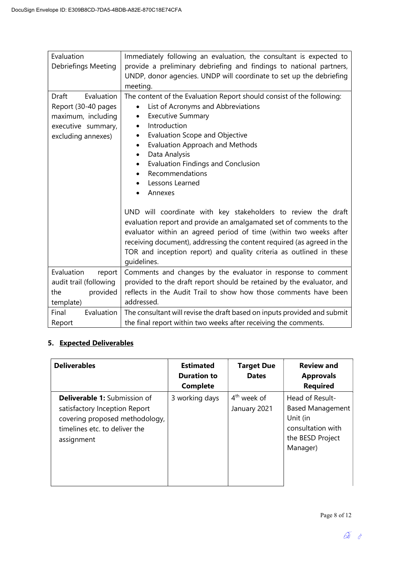| Evaluation<br><b>Debriefings Meeting</b>                                                                            | Immediately following an evaluation, the consultant is expected to<br>provide a preliminary debriefing and findings to national partners,<br>UNDP, donor agencies. UNDP will coordinate to set up the debriefing<br>meeting.                                                                                                                                                                                                                                                                                                                                                                                                                                                                                                                                                                          |  |
|---------------------------------------------------------------------------------------------------------------------|-------------------------------------------------------------------------------------------------------------------------------------------------------------------------------------------------------------------------------------------------------------------------------------------------------------------------------------------------------------------------------------------------------------------------------------------------------------------------------------------------------------------------------------------------------------------------------------------------------------------------------------------------------------------------------------------------------------------------------------------------------------------------------------------------------|--|
| <b>Draft</b><br>Evaluation<br>Report (30-40 pages<br>maximum, including<br>executive summary,<br>excluding annexes) | The content of the Evaluation Report should consist of the following:<br>List of Acronyms and Abbreviations<br><b>Executive Summary</b><br>$\bullet$<br>Introduction<br>$\bullet$<br><b>Evaluation Scope and Objective</b><br>$\bullet$<br><b>Evaluation Approach and Methods</b><br>$\bullet$<br>Data Analysis<br>$\bullet$<br><b>Evaluation Findings and Conclusion</b><br>$\bullet$<br>Recommendations<br>Lessons Learned<br>Annexes<br>UND will coordinate with key stakeholders to review the draft<br>evaluation report and provide an amalgamated set of comments to the<br>evaluator within an agreed period of time (within two weeks after<br>receiving document), addressing the content required (as agreed in the<br>TOR and inception report) and quality criteria as outlined in these |  |
| Evaluation<br>report<br>audit trail (following<br>provided<br>the                                                   | Comments and changes by the evaluator in response to comment<br>provided to the draft report should be retained by the evaluator, and<br>reflects in the Audit Trail to show how those comments have been                                                                                                                                                                                                                                                                                                                                                                                                                                                                                                                                                                                             |  |
| template)                                                                                                           | addressed.                                                                                                                                                                                                                                                                                                                                                                                                                                                                                                                                                                                                                                                                                                                                                                                            |  |
| Final<br>Evaluation<br>Report                                                                                       | The consultant will revise the draft based on inputs provided and submit<br>the final report within two weeks after receiving the comments.                                                                                                                                                                                                                                                                                                                                                                                                                                                                                                                                                                                                                                                           |  |

# 5. Expected Deliverables

| <b>Deliverables</b>                                                                                                                                   | <b>Estimated</b><br><b>Duration to</b><br><b>Complete</b> | <b>Target Due</b><br><b>Dates</b> | <b>Review and</b><br><b>Approvals</b><br><b>Required</b>                                                    |
|-------------------------------------------------------------------------------------------------------------------------------------------------------|-----------------------------------------------------------|-----------------------------------|-------------------------------------------------------------------------------------------------------------|
| <b>Deliverable 1:</b> Submission of<br>satisfactory Inception Report<br>covering proposed methodology,<br>timelines etc. to deliver the<br>assignment | 3 working days                                            | $4th$ week of<br>January 2021     | Head of Result-<br><b>Based Management</b><br>Unit (in<br>consultation with<br>the BESD Project<br>Manager) |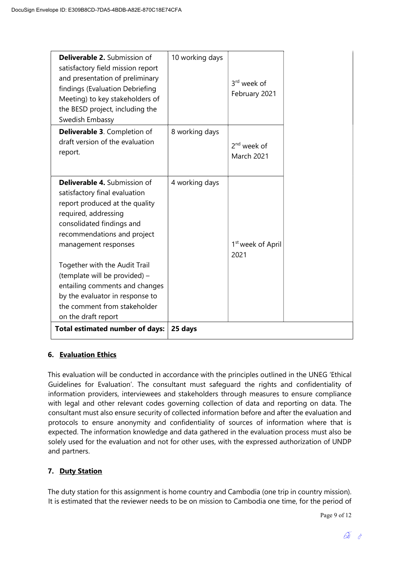| <b>Deliverable 2.</b> Submission of<br>satisfactory field mission report<br>and presentation of preliminary<br>findings (Evaluation Debriefing<br>Meeting) to key stakeholders of<br>the BESD project, including the<br>Swedish Embassy | 10 working days | 3 <sup>rd</sup> week of<br>February 2021 |
|-----------------------------------------------------------------------------------------------------------------------------------------------------------------------------------------------------------------------------------------|-----------------|------------------------------------------|
| <b>Deliverable 3. Completion of</b><br>draft version of the evaluation<br>report.                                                                                                                                                       | 8 working days  | $2nd$ week of<br><b>March 2021</b>       |
| <b>Deliverable 4. Submission of</b><br>satisfactory final evaluation<br>report produced at the quality<br>required, addressing<br>consolidated findings and<br>recommendations and project<br>management responses                      | 4 working days  | 1 <sup>st</sup> week of April<br>2021    |
| Together with the Audit Trail<br>(template will be provided) -<br>entailing comments and changes<br>by the evaluator in response to<br>the comment from stakeholder<br>on the draft report                                              |                 |                                          |
| <b>Total estimated number of days:</b>                                                                                                                                                                                                  | 25 days         |                                          |

## 6. Evaluation Ethics

This evaluation will be conducted in accordance with the principles outlined in the UNEG 'Ethical Guidelines for Evaluation'. The consultant must safeguard the rights and confidentiality of information providers, interviewees and stakeholders through measures to ensure compliance with legal and other relevant codes governing collection of data and reporting on data. The consultant must also ensure security of collected information before and after the evaluation and protocols to ensure anonymity and confidentiality of sources of information where that is expected. The information knowledge and data gathered in the evaluation process must also be solely used for the evaluation and not for other uses, with the expressed authorization of UNDP and partners.

## 7. Duty Station

The duty station for this assignment is home country and Cambodia (one trip in country mission). It is estimated that the reviewer needs to be on mission to Cambodia one time, for the period of

Page 9 of 12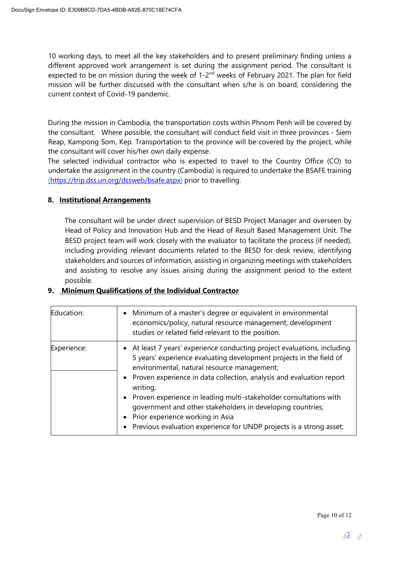10 working days, to meet all the key stakeholders and to present preliminary finding unless a different approved work arrangement is set during the assignment period. The consultant is expected to be on mission during the week of 1-2<sup>nd</sup> weeks of February 2021. The plan for field mission will be further discussed with the consultant when s/he is on board, considering the current context of Covid-19 pandemic.

During the mission in Cambodia, the transportation costs within Phnom Penh will be covered by the consultant. Where possible, the consultant will conduct field visit in three provinces - Siem Reap, Kampong Som, Kep. Transportation to the province will be covered by the project, while the consultant will cover his/her own daily expense.

The selected individual contractor who is expected to travel to the Country Office (CO) to undertake the assignment in the country (Cambodia) is required to undertake the BSAFE training (https://trip.dss.un.org/dssweb/bsafe.aspx) prior to travelling.

### 8. Institutional Arrangements

The consultant will be under direct supervision of BESD Project Manager and overseen by Head of Policy and Innovation Hub and the Head of Result Based Management Unit. The BESD project team will work closely with the evaluator to facilitate the process (if needed), including providing relevant documents related to the BESD for desk review, identifying stakeholders and sources of information, assisting in organizing meetings with stakeholders and assisting to resolve any issues arising during the assignment period to the extent possible.

## 9. Minimum Qualifications of the Individual Contractor

| Education:  | • Minimum of a master's degree or equivalent in environmental<br>economics/policy, natural resource management, development<br>studies or related field relevant to the position.                                                                                                                                                                                                                                                                                                                                                        |
|-------------|------------------------------------------------------------------------------------------------------------------------------------------------------------------------------------------------------------------------------------------------------------------------------------------------------------------------------------------------------------------------------------------------------------------------------------------------------------------------------------------------------------------------------------------|
| Experience: | • At least 7 years' experience conducting project evaluations, including<br>5 years' experience evaluating development projects in the field of<br>environmental, natural resource management;<br>• Proven experience in data collection, analysis and evaluation report<br>writing;<br>• Proven experience in leading multi-stakeholder consultations with<br>government and other stakeholders in developing countries;<br>• Prior experience working in Asia<br>• Previous evaluation experience for UNDP projects is a strong asset; |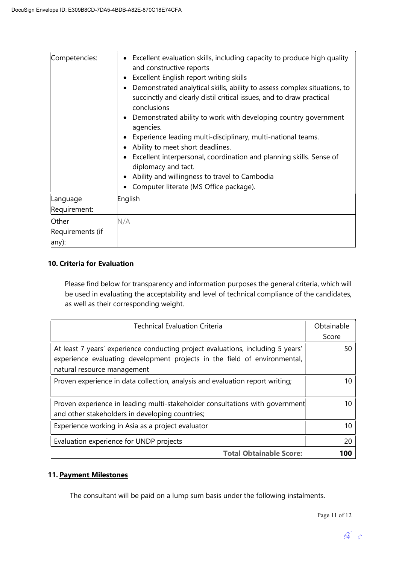| Competencies:                      | Excellent evaluation skills, including capacity to produce high quality<br>and constructive reports<br>Excellent English report writing skills<br>٠<br>Demonstrated analytical skills, ability to assess complex situations, to<br>$\bullet$<br>succinctly and clearly distil critical issues, and to draw practical<br>conclusions<br>Demonstrated ability to work with developing country government<br>٠<br>agencies.<br>Experience leading multi-disciplinary, multi-national teams.<br>Ability to meet short deadlines.<br>Excellent interpersonal, coordination and planning skills. Sense of<br>diplomacy and tact.<br>Ability and willingness to travel to Cambodia<br>$\bullet$<br>Computer literate (MS Office package). |
|------------------------------------|------------------------------------------------------------------------------------------------------------------------------------------------------------------------------------------------------------------------------------------------------------------------------------------------------------------------------------------------------------------------------------------------------------------------------------------------------------------------------------------------------------------------------------------------------------------------------------------------------------------------------------------------------------------------------------------------------------------------------------|
| Language<br>Requirement:           | English                                                                                                                                                                                                                                                                                                                                                                                                                                                                                                                                                                                                                                                                                                                            |
| Other<br>Requirements (if<br>any): | N/A                                                                                                                                                                                                                                                                                                                                                                                                                                                                                                                                                                                                                                                                                                                                |

## 10. Criteria for Evaluation

Please find below for transparency and information purposes the general criteria, which will be used in evaluating the acceptability and level of technical compliance of the candidates, as well as their corresponding weight.

| <b>Technical Evaluation Criteria</b>                                                                                                                                                        | Obtainable<br>Score |
|---------------------------------------------------------------------------------------------------------------------------------------------------------------------------------------------|---------------------|
| At least 7 years' experience conducting project evaluations, including 5 years'<br>experience evaluating development projects in the field of environmental,<br>natural resource management | 50                  |
| Proven experience in data collection, analysis and evaluation report writing;                                                                                                               | 10                  |
| Proven experience in leading multi-stakeholder consultations with government<br>and other stakeholders in developing countries;                                                             | 10                  |
| Experience working in Asia as a project evaluator                                                                                                                                           | 10                  |
| Evaluation experience for UNDP projects                                                                                                                                                     | 20                  |
| <b>Total Obtainable Score:</b>                                                                                                                                                              | 100                 |

## 11. Payment Milestones

The consultant will be paid on a lump sum basis under the following instalments.